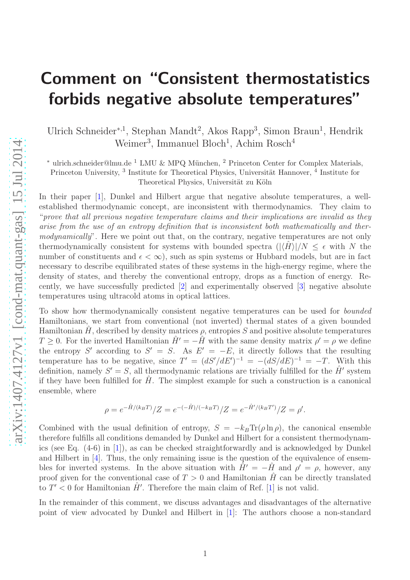## Comment on "Consistent thermostatistics forbids negative absolute temperatures"

Ulrich Schneider<sup>∗,1</sup>, Stephan Mandt<sup>2</sup>, Akos Rapp<sup>3</sup>, Simon Braun<sup>1</sup>, Hendrik Weimer<sup>3</sup>, Immanuel Bloch<sup>1</sup>, Achim Rosch<sup>4</sup>

 $*$  ulrich.schneider@lmu.de<sup>1</sup> LMU & MPQ München,<sup>2</sup> Princeton Center for Complex Materials,

Princeton University, <sup>3</sup> Institute for Theoretical Physics, Universität Hannover, <sup>4</sup> Institute for

Theoretical Physics, Universität zu Köln

In their paper [\[1](#page-2-0)], Dunkel and Hilbert argue that negative absolute temperatures, a wellestablished thermodynamic concept, are inconsistent with thermodynamics. They claim to "prove that all previous negative temperature claims and their implications are invalid as they arise from the use of an entropy definition that is inconsistent both mathematically and thermodynamically". Here we point out that, on the contrary, negative temperatures are not only thermodynamically consistent for systems with bounded spectra  $(|\langle \hat{H} \rangle|/N \leq \epsilon$  with N the number of constituents and  $\epsilon < \infty$ ), such as spin systems or Hubbard models, but are in fact necessary to describe equilibrated states of these systems in the high-energy regime, where the density of states, and thereby the conventional entropy, drops as a function of energy. Recently, we have successfully predicted [\[2](#page-2-1)] and experimentally observed [\[3](#page-2-2)] negative absolute temperatures using ultracold atoms in optical lattices.

To show how thermodynamically consistent negative temperatures can be used for bounded Hamiltonians, we start from conventional (not inverted) thermal states of a given bounded Hamiltonian H, described by density matrices  $\rho$ , entropies S and positive absolute temperatures  $T \geq 0$ . For the inverted Hamiltonian  $\hat{H}' = -\hat{H}$  with the same density matrix  $\rho' = \rho$  we define the entropy S' according to  $S' = S$ . As  $E' = -E$ , it directly follows that the resulting temperature has to be negative, since  $T' = (dS'/dE')^{-1} = -(dS/dE)^{-1} = -T$ . With this definition, namely  $S' = S$ , all thermodynamic relations are trivially fulfilled for the  $\hat{H}'$  system if they have been fulfilled for  $\hat{H}$ . The simplest example for such a construction is a canonical ensemble, where

$$
\rho = e^{-\hat{H}/(k_B T)}/Z = e^{-(-\hat{H})/(-k_B T)}/Z = e^{-\hat{H}'/(k_B T')}/Z = \rho'.
$$

Combined with the usual definition of entropy,  $S = -k_B \text{Tr}(\rho \ln \rho)$ , the canonical ensemble therefore fulfills all conditions demanded by Dunkel and Hilbert for a consistent thermodynamics (see Eq. (4-6) in [\[1](#page-2-0)]), as can be checked straightforwardly and is acknowledged by Dunkel and Hilbert in [\[4\]](#page-2-3). Thus, the only remaining issue is the question of the equivalence of ensembles for inverted systems. In the above situation with  $\tilde{H}' = -\hat{H}$  and  $\rho' = \rho$ , however, any proof given for the conventional case of  $T > 0$  and Hamiltonian  $\hat{H}$  can be directly translated to  $T' < 0$  for Hamiltonian  $\hat{H}'$ . Therefore the main claim of Ref. [\[1\]](#page-2-0) is not valid.

In the remainder of this comment, we discuss advantages and disadvantages of the alternative point of view advocated by Dunkel and Hilbert in [\[1\]](#page-2-0): The authors choose a non-standard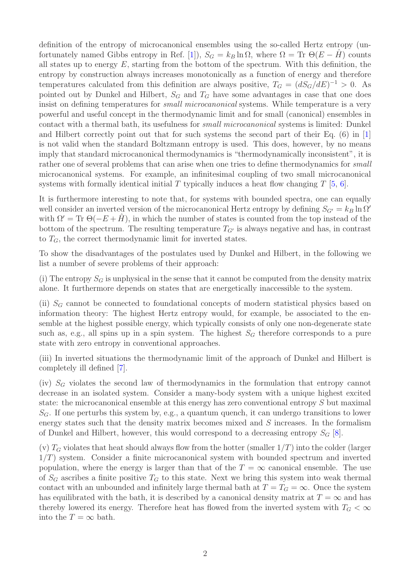definition of the entropy of microcanonical ensembles using the so-called Hertz entropy (un-fortunately named Gibbs entropy in Ref. [\[1](#page-2-0)]),  $S_G = k_B \ln \Omega$ , where  $\Omega = \text{Tr } \Theta(E - H)$  counts all states up to energy  $E$ , starting from the bottom of the spectrum. With this definition, the entropy by construction always increases monotonically as a function of energy and therefore temperatures calculated from this definition are always positive,  $T_G = (dS_G/dE)^{-1} > 0$ . As pointed out by Dunkel and Hilbert,  $S_G$  and  $T_G$  have some advantages in case that one does insist on defining temperatures for *small microcanonical* systems. While temperature is a very powerful and useful concept in the thermodynamic limit and for small (canonical) ensembles in contact with a thermal bath, its usefulness for small microcanonical systems is limited: Dunkel and Hilbert correctly point out that for such systems the second part of their Eq. (6) in [\[1](#page-2-0)] is not valid when the standard Boltzmann entropy is used. This does, however, by no means imply that standard microcanonical thermodynamics is "thermodynamically inconsistent", it is rather one of several problems that can arise when one tries to define thermodynamics for small microcanonical systems. For example, an infinitesimal coupling of two small microcanonical systems with formally identical initial  $T$  typically induces a heat flow changing  $T$  [\[5,](#page-2-4) [6\]](#page-2-5).

It is furthermore interesting to note that, for systems with bounded spectra, one can equally well consider an inverted version of the microcanonical Hertz entropy by defining  $S_{G'} = k_B \ln \Omega'$ with  $\Omega' = \text{Tr } \Theta(-E + H)$ , in which the number of states is counted from the top instead of the bottom of the spectrum. The resulting temperature  $T_{G'}$  is always negative and has, in contrast to  $T_G$ , the correct thermodynamic limit for inverted states.

To show the disadvantages of the postulates used by Dunkel and Hilbert, in the following we list a number of severe problems of their approach:

(i) The entropy  $S_G$  is unphysical in the sense that it cannot be computed from the density matrix alone. It furthermore depends on states that are energetically inaccessible to the system.

(ii)  $S_G$  cannot be connected to foundational concepts of modern statistical physics based on information theory: The highest Hertz entropy would, for example, be associated to the ensemble at the highest possible energy, which typically consists of only one non-degenerate state such as, e.g., all spins up in a spin system. The highest  $S_G$  therefore corresponds to a pure state with zero entropy in conventional approaches.

(iii) In inverted situations the thermodynamic limit of the approach of Dunkel and Hilbert is completely ill defined [\[7\]](#page-2-6).

(iv)  $S_G$  violates the second law of thermodynamics in the formulation that entropy cannot decrease in an isolated system. Consider a many-body system with a unique highest excited state: the microcanonical ensemble at this energy has zero conventional entropy S but maximal  $S_G$ . If one perturbs this system by, e.g., a quantum quench, it can undergo transitions to lower energy states such that the density matrix becomes mixed and S increases. In the formalism of Dunkel and Hilbert, however, this would correspond to a decreasing entropy  $S_G$  [\[8\]](#page-2-7).

(v)  $T_G$  violates that heat should always flow from the hotter (smaller  $1/T$ ) into the colder (larger  $1/T$ ) system. Consider a finite microcanonical system with bounded spectrum and inverted population, where the energy is larger than that of the  $T = \infty$  canonical ensemble. The use of  $S_G$  ascribes a finite positive  $T_G$  to this state. Next we bring this system into weak thermal contact with an unbounded and infinitely large thermal bath at  $T = T<sub>G</sub> = \infty$ . Once the system has equilibrated with the bath, it is described by a canonical density matrix at  $T = \infty$  and has thereby lowered its energy. Therefore heat has flowed from the inverted system with  $T_G < \infty$ into the  $T = \infty$  bath.